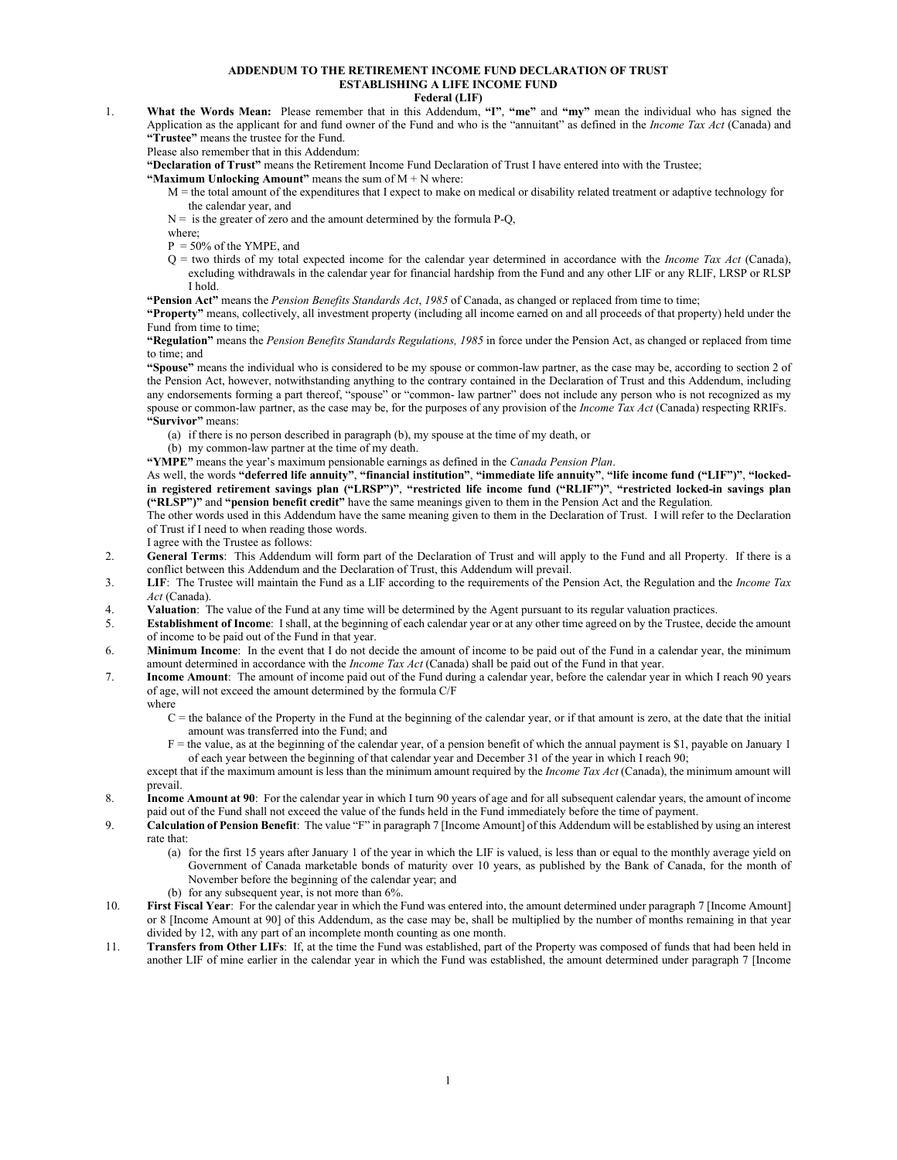## **ADDENDUM TO THE RETIREMENT INCOME FUND DECLARATION OF TRUST ESTABLISHING A LIFE INCOME FUND**

## **Federal (LIF)**

1. **What the Words Mean:** Please remember that in this Addendum, **"I"**, **"me"** and **"my"** mean the individual who has signed the Application as the applicant for and fund owner of the Fund and who is the "annuitant" as defined in the *Income Tax Act* (Canada) and **"Trustee"** means the trustee for the Fund.

Please also remember that in this Addendum:

**"Declaration of Trust"** means the Retirement Income Fund Declaration of Trust I have entered into with the Trustee;

## **"Maximum Unlocking Amount"** means the sum of  $M + N$  where:

M = the total amount of the expenditures that I expect to make on medical or disability related treatment or adaptive technology for the calendar year, and

 $N =$  is the greater of zero and the amount determined by the formula P-Q,

- where;
- $P = 50\%$  of the YMPE, and
- $Q =$  two thirds of my total expected income for the calendar year determined in accordance with the *Income Tax Act* (Canada), excluding withdrawals in the calendar year for financial hardship from the Fund and any other LIF or any RLIF, LRSP or RLSP I hold.

**"Pension Act"** means the *Pension Benefits Standards Act*, *1985* of Canada, as changed or replaced from time to time;

**"Property"** means, collectively, all investment property (including all income earned on and all proceeds of that property) held under the Fund from time to time;

**"Regulation"** means the *Pension Benefits Standards Regulations, 1985* in force under the Pension Act, as changed or replaced from time to time; and

**"Spouse"** means the individual who is considered to be my spouse or common-law partner, as the case may be, according to section 2 of the Pension Act, however, notwithstanding anything to the contrary contained in the Declaration of Trust and this Addendum, including any endorsements forming a part thereof, "spouse" or "common- law partner" does not include any person who is not recognized as my spouse or common-law partner, as the case may be, for the purposes of any provision of the *Income Tax Act* (Canada) respecting RRIFs. **"Survivor"** means:

(a) if there is no person described in paragraph (b), my spouse at the time of my death, or

(b) my common-law partner at the time of my death.

**"YMPE"** means the year's maximum pensionable earnings as defined in the *Canada Pension Plan*.

As well, the words **"deferred life annuity"**, **"financial institution"**, **"immediate life annuity"**, **"life income fund ("LIF")"**, **"lockedin registered retirement savings plan ("LRSP")"**, **"restricted life income fund ("RLIF")"**, **"restricted locked-in savings plan ("RLSP")"** and **"pension benefit credit"** have the same meanings given to them in the Pension Act and the Regulation.

The other words used in this Addendum have the same meaning given to them in the Declaration of Trust. I will refer to the Declaration of Trust if I need to when reading those words.

I agree with the Trustee as follows:

- 2. **General Terms**: This Addendum will form part of the Declaration of Trust and will apply to the Fund and all Property. If there is a conflict between this Addendum and the Declaration of Trust, this Addendum will prevail.
- 3. **LIF**: The Trustee will maintain the Fund as a LIF according to the requirements of the Pension Act, the Regulation and the *Income Tax Act* (Canada).
- 4. **Valuation:** The value of the Fund at any time will be determined by the Agent pursuant to its regular valuation practices.<br>5. **Establishment of Income:** I shall, at the beginning of each calendar year or at any other t
- 5. **Establishment of Income**: I shall, at the beginning of each calendar year or at any other time agreed on by the Trustee, decide the amount of income to be paid out of the Fund in that year.
- 6. **Minimum Income**: In the event that I do not decide the amount of income to be paid out of the Fund in a calendar year, the minimum amount determined in accordance with the *Income Tax Act* (Canada) shall be paid out of the Fund in that year.
- 7. **Income Amount**: The amount of income paid out of the Fund during a calendar year, before the calendar year in which I reach 90 years of age, will not exceed the amount determined by the formula C/F
	- where
		- $C =$  the balance of the Property in the Fund at the beginning of the calendar year, or if that amount is zero, at the date that the initial amount was transferred into the Fund; and
		- F = the value, as at the beginning of the calendar year, of a pension benefit of which the annual payment is \$1, payable on January 1 of each year between the beginning of that calendar year and December 31 of the year in which I reach 90;

except that if the maximum amount is less than the minimum amount required by the *Income Tax Act* (Canada), the minimum amount will prevail.

- 8. **Income Amount at 90**: For the calendar year in which I turn 90 years of age and for all subsequent calendar years, the amount of income paid out of the Fund shall not exceed the value of the funds held in the Fund immediately before the time of payment.
- 9. **Calculation of Pension Benefit**: The value "F" in paragraph 7 [Income Amount] of this Addendum will be established by using an interest rate that:
	- (a) for the first 15 years after January 1 of the year in which the LIF is valued, is less than or equal to the monthly average yield on Government of Canada marketable bonds of maturity over 10 years, as published by the Bank of Canada, for the month of November before the beginning of the calendar year; and
	- (b) for any subsequent year, is not more than 6%.
- 10. **First Fiscal Year**: For the calendar year in which the Fund was entered into, the amount determined under paragraph 7 [Income Amount] or 8 [Income Amount at 90] of this Addendum, as the case may be, shall be multiplied by the number of months remaining in that year divided by 12, with any part of an incomplete month counting as one month.
- 11. **Transfers from Other LIFs**: If, at the time the Fund was established, part of the Property was composed of funds that had been held in another LIF of mine earlier in the calendar year in which the Fund was established, the amount determined under paragraph 7 [Income